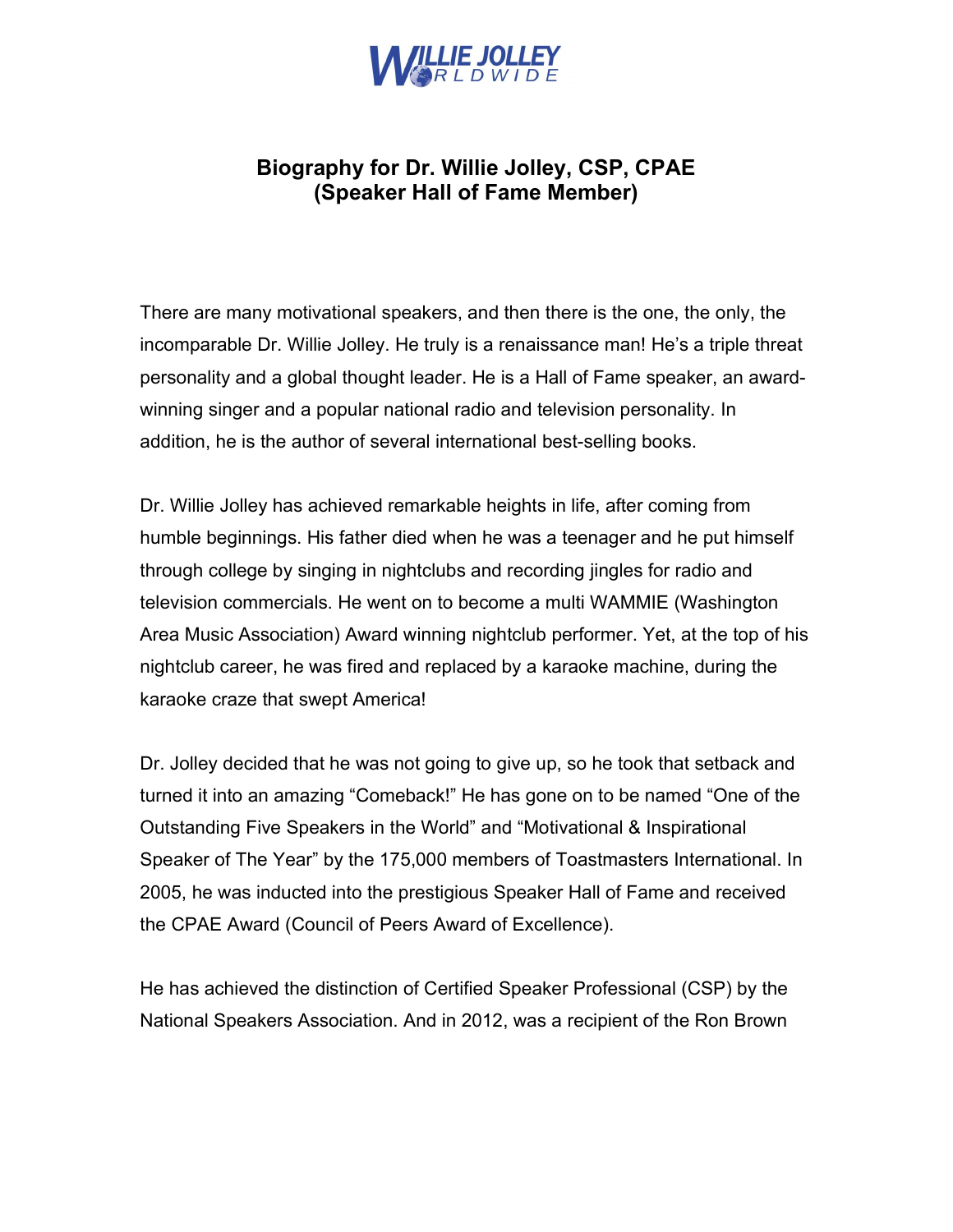

## Biography for Dr. Willie Jolley, CSP, CPAE (Speaker Hall of Fame Member)

There are many motivational speakers, and then there is the one, the only, the incomparable Dr. Willie Jolley. He truly is a renaissance man! He's a triple threat personality and a global thought leader. He is a Hall of Fame speaker, an awardwinning singer and a popular national radio and television personality. In addition, he is the author of several international best-selling books.

Dr. Willie Jolley has achieved remarkable heights in life, after coming from humble beginnings. His father died when he was a teenager and he put himself through college by singing in nightclubs and recording jingles for radio and television commercials. He went on to become a multi WAMMIE (Washington Area Music Association) Award winning nightclub performer. Yet, at the top of his nightclub career, he was fired and replaced by a karaoke machine, during the karaoke craze that swept America!

Dr. Jolley decided that he was not going to give up, so he took that setback and turned it into an amazing "Comeback!" He has gone on to be named "One of the Outstanding Five Speakers in the World" and "Motivational & Inspirational Speaker of The Year" by the 175,000 members of Toastmasters International. In 2005, he was inducted into the prestigious Speaker Hall of Fame and received the CPAE Award (Council of Peers Award of Excellence).

He has achieved the distinction of Certified Speaker Professional (CSP) by the National Speakers Association. And in 2012, was a recipient of the Ron Brown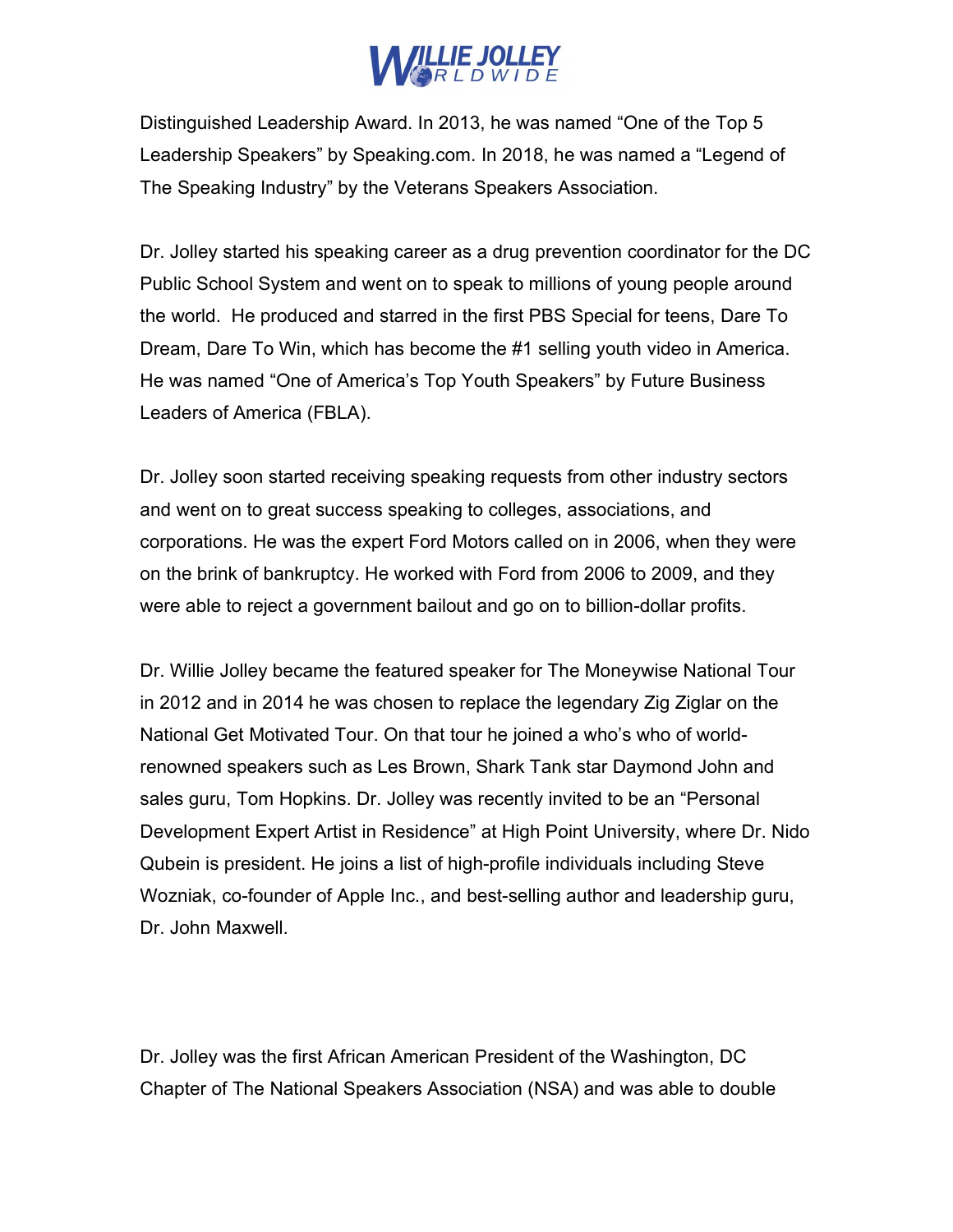

Distinguished Leadership Award. In 2013, he was named "One of the Top 5 Leadership Speakers" by Speaking.com. In 2018, he was named a "Legend of The Speaking Industry" by the Veterans Speakers Association.

Dr. Jolley started his speaking career as a drug prevention coordinator for the DC Public School System and went on to speak to millions of young people around the world. He produced and starred in the first PBS Special for teens, Dare To Dream, Dare To Win, which has become the #1 selling youth video in America. He was named "One of America's Top Youth Speakers" by Future Business Leaders of America (FBLA).

Dr. Jolley soon started receiving speaking requests from other industry sectors and went on to great success speaking to colleges, associations, and corporations. He was the expert Ford Motors called on in 2006, when they were on the brink of bankruptcy. He worked with Ford from 2006 to 2009, and they were able to reject a government bailout and go on to billion-dollar profits.

Dr. Willie Jolley became the featured speaker for The Moneywise National Tour in 2012 and in 2014 he was chosen to replace the legendary Zig Ziglar on the National Get Motivated Tour. On that tour he joined a who's who of worldrenowned speakers such as Les Brown, Shark Tank star Daymond John and sales guru, Tom Hopkins. Dr. Jolley was recently invited to be an "Personal Development Expert Artist in Residence" at High Point University, where Dr. Nido Qubein is president. He joins a list of high-profile individuals including Steve Wozniak, co-founder of Apple Inc., and best-selling author and leadership guru, Dr. John Maxwell.

Dr. Jolley was the first African American President of the Washington, DC Chapter of The National Speakers Association (NSA) and was able to double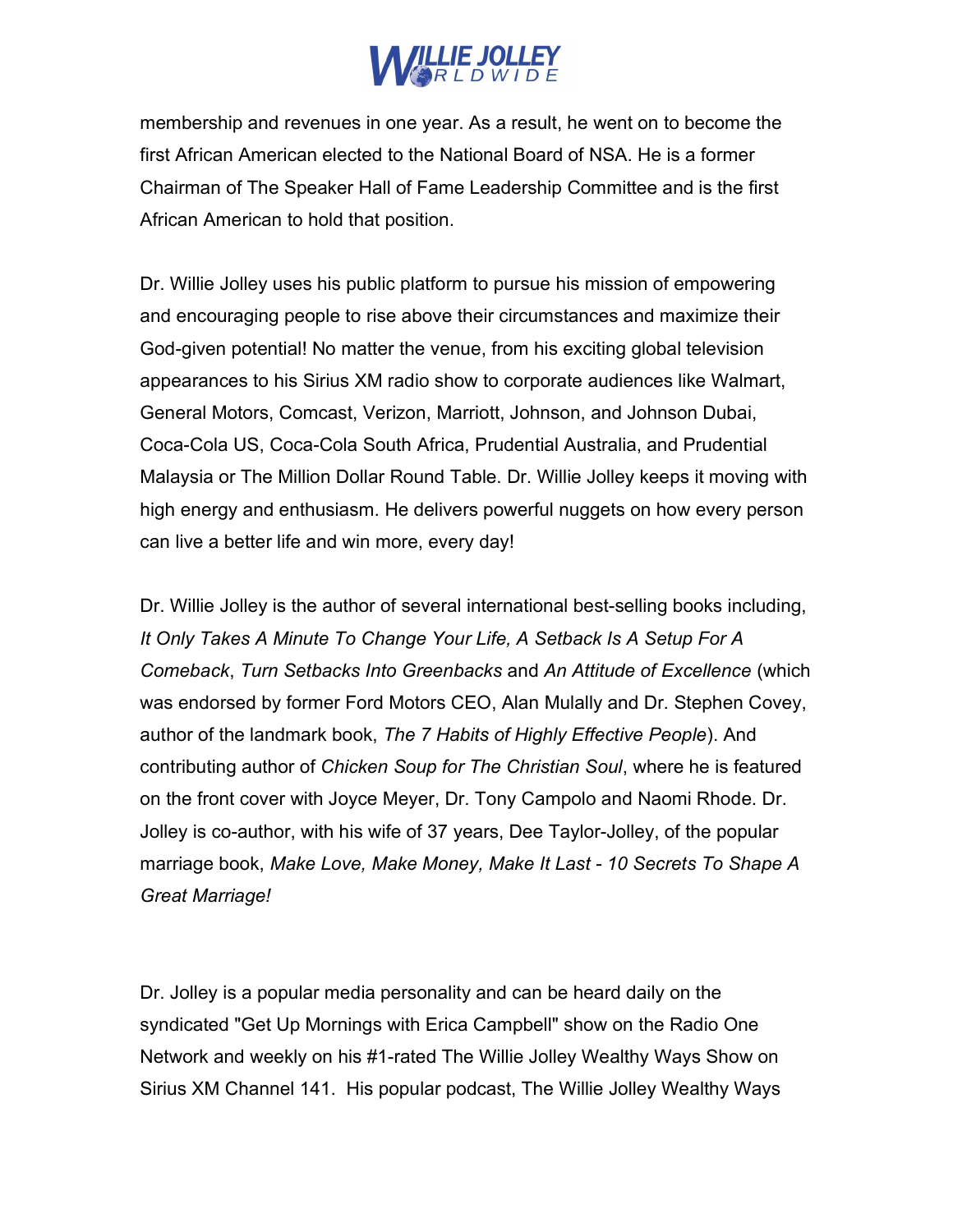

membership and revenues in one year. As a result, he went on to become the first African American elected to the National Board of NSA. He is a former Chairman of The Speaker Hall of Fame Leadership Committee and is the first African American to hold that position.

Dr. Willie Jolley uses his public platform to pursue his mission of empowering and encouraging people to rise above their circumstances and maximize their God-given potential! No matter the venue, from his exciting global television appearances to his Sirius XM radio show to corporate audiences like Walmart, General Motors, Comcast, Verizon, Marriott, Johnson, and Johnson Dubai, Coca-Cola US, Coca-Cola South Africa, Prudential Australia, and Prudential Malaysia or The Million Dollar Round Table. Dr. Willie Jolley keeps it moving with high energy and enthusiasm. He delivers powerful nuggets on how every person can live a better life and win more, every day!

Dr. Willie Jolley is the author of several international best-selling books including, It Only Takes A Minute To Change Your Life, A Setback Is A Setup For A Comeback, Turn Setbacks Into Greenbacks and An Attitude of Excellence (which was endorsed by former Ford Motors CEO, Alan Mulally and Dr. Stephen Covey, author of the landmark book, The 7 Habits of Highly Effective People). And contributing author of Chicken Soup for The Christian Soul, where he is featured on the front cover with Joyce Meyer, Dr. Tony Campolo and Naomi Rhode. Dr. Jolley is co-author, with his wife of 37 years, Dee Taylor-Jolley, of the popular marriage book, Make Love, Make Money, Make It Last - 10 Secrets To Shape A Great Marriage!

Dr. Jolley is a popular media personality and can be heard daily on the syndicated "Get Up Mornings with Erica Campbell" show on the Radio One Network and weekly on his #1-rated The Willie Jolley Wealthy Ways Show on Sirius XM Channel 141. His popular podcast, The Willie Jolley Wealthy Ways